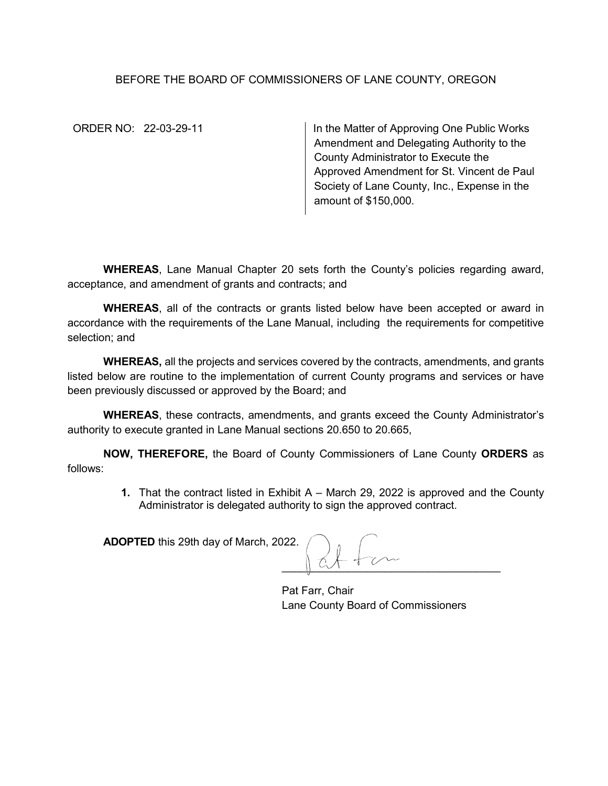## BEFORE THE BOARD OF COMMISSIONERS OF LANE COUNTY, OREGON

ORDER NO: 22-03-29-11 In the Matter of Approving One Public Works Amendment and Delegating Authority to the County Administrator to Execute the Approved Amendment for St. Vincent de Paul Society of Lane County, Inc., Expense in the amount of \$150,000.

**WHEREAS**, Lane Manual Chapter 20 sets forth the County's policies regarding award, acceptance, and amendment of grants and contracts; and

**WHEREAS**, all of the contracts or grants listed below have been accepted or award in accordance with the requirements of the Lane Manual, including the requirements for competitive selection; and

**WHEREAS,** all the projects and services covered by the contracts, amendments, and grants listed below are routine to the implementation of current County programs and services or have been previously discussed or approved by the Board; and

**WHEREAS**, these contracts, amendments, and grants exceed the County Administrator's authority to execute granted in Lane Manual sections 20.650 to 20.665,

**NOW, THEREFORE,** the Board of County Commissioners of Lane County **ORDERS** as follows:

> **1.** That the contract listed in Exhibit A – March 29, 2022 is approved and the County Administrator is delegated authority to sign the approved contract.

**ADOPTED** this 29th day of March, 2022.

 $\frac{1}{2}$ 

Pat Farr, Chair Lane County Board of Commissioners